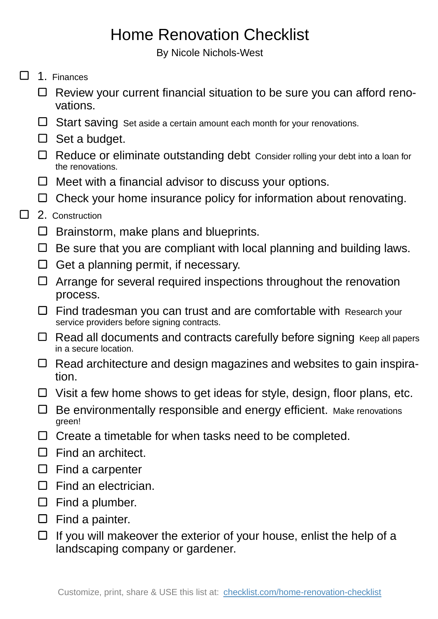## Home Renovation Checklist

By Nicole Nichols-West

- $\Box$  1. Finances
	- $\Box$  Review your current financial situation to be sure you can afford renovations.
	- $\Box$  Start saving Set aside a certain amount each month for your renovations.
	- $\Box$  Set a budget.
	- $\Box$  Reduce or eliminate outstanding debt Consider rolling your debt into a loan for the renovations.
	- $\Box$  Meet with a financial advisor to discuss your options.
	- $\Box$  Check your home insurance policy for information about renovating.

## П 2. Construction

- □ Brainstorm, make plans and blueprints.
- $\Box$  Be sure that you are compliant with local planning and building laws.
- $\Box$  Get a planning permit, if necessary.
- $\Box$  Arrange for several required inspections throughout the renovation process.
- $\Box$  Find tradesman you can trust and are comfortable with Research your service providers before signing contracts.
- $\Box$  Read all documents and contracts carefully before signing Keep all papers in a secure location.
- $\Box$  Read architecture and design magazines and websites to gain inspiration.
- $\Box$  Visit a few home shows to get ideas for style, design, floor plans, etc.
- $\Box$  Be environmentally responsible and energy efficient. Make renovations green!
- $\Box$  Create a timetable for when tasks need to be completed.
- $\Box$  Find an architect.
- $\square$  Find a carpenter
- $\square$  Find an electrician.
- $\Box$  Find a plumber.
- $\Box$  Find a painter.
- $\Box$  If you will makeover the exterior of your house, enlist the help of a landscaping company or gardener.